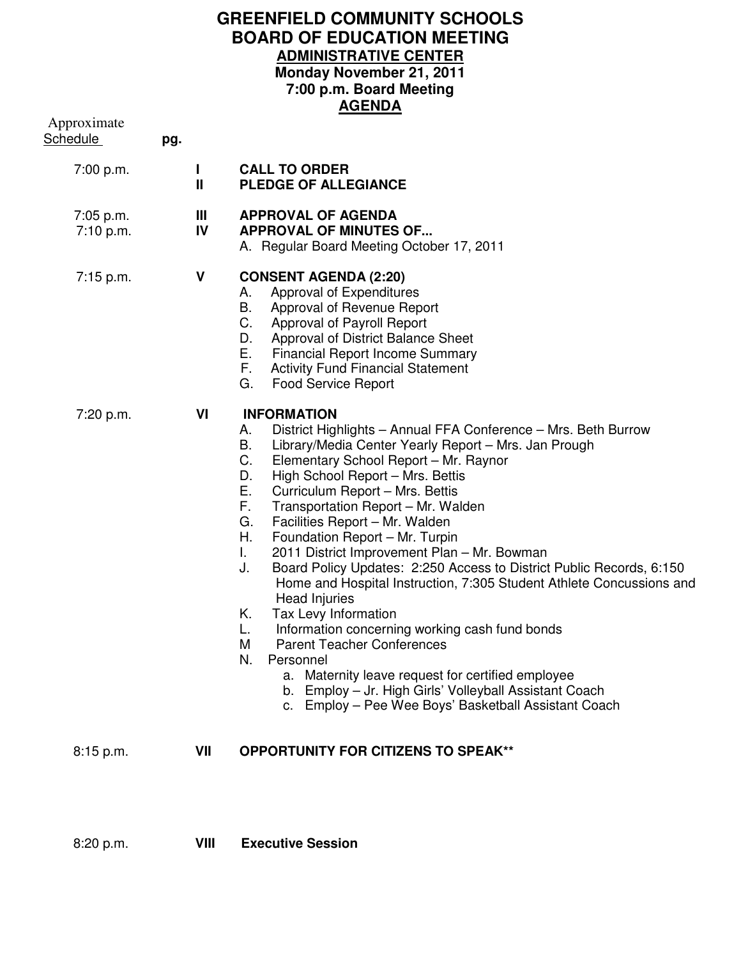## **GREENFIELD COMMUNITY SCHOOLS BOARD OF EDUCATION MEETING ADMINISTRATIVE CENTER Monday November 21, 2011 7:00 p.m. Board Meeting AGENDA**

| Approximate<br><b>Schedule</b> | pg. |         | AGLIJDA                                                                                                                                                                                                                                                                                                                                                                                                                                                                                                                                                                                                                                                                                                                                                                                                                                                                                                                                                                             |
|--------------------------------|-----|---------|-------------------------------------------------------------------------------------------------------------------------------------------------------------------------------------------------------------------------------------------------------------------------------------------------------------------------------------------------------------------------------------------------------------------------------------------------------------------------------------------------------------------------------------------------------------------------------------------------------------------------------------------------------------------------------------------------------------------------------------------------------------------------------------------------------------------------------------------------------------------------------------------------------------------------------------------------------------------------------------|
| 7:00 p.m.                      |     | L<br>Ш  | <b>CALL TO ORDER</b><br><b>PLEDGE OF ALLEGIANCE</b>                                                                                                                                                                                                                                                                                                                                                                                                                                                                                                                                                                                                                                                                                                                                                                                                                                                                                                                                 |
| 7:05 p.m.<br>7:10 p.m.         |     | Ш<br>IV | <b>APPROVAL OF AGENDA</b><br><b>APPROVAL OF MINUTES OF</b><br>A. Regular Board Meeting October 17, 2011                                                                                                                                                                                                                                                                                                                                                                                                                                                                                                                                                                                                                                                                                                                                                                                                                                                                             |
| $7:15$ p.m.                    |     | V       | <b>CONSENT AGENDA (2:20)</b><br>Approval of Expenditures<br>А.<br>В.<br>Approval of Revenue Report<br>C.<br>Approval of Payroll Report<br>Approval of District Balance Sheet<br>D.<br>Е.<br><b>Financial Report Income Summary</b><br>F.<br><b>Activity Fund Financial Statement</b><br><b>Food Service Report</b><br>G.                                                                                                                                                                                                                                                                                                                                                                                                                                                                                                                                                                                                                                                            |
| 7:20 p.m.                      |     | VI      | <b>INFORMATION</b><br>District Highlights - Annual FFA Conference - Mrs. Beth Burrow<br>А.<br>В.<br>Library/Media Center Yearly Report - Mrs. Jan Prough<br>C.<br>Elementary School Report - Mr. Raynor<br>High School Report - Mrs. Bettis<br>D.<br>Е.<br>Curriculum Report - Mrs. Bettis<br>F.<br>Transportation Report - Mr. Walden<br>G.<br>Facilities Report - Mr. Walden<br>Η.<br>Foundation Report - Mr. Turpin<br>2011 District Improvement Plan - Mr. Bowman<br>L.<br>J.<br>Board Policy Updates: 2:250 Access to District Public Records, 6:150<br>Home and Hospital Instruction, 7:305 Student Athlete Concussions and<br><b>Head Injuries</b><br>Tax Levy Information<br>Κ.<br>Information concerning working cash fund bonds<br>L.<br>M<br><b>Parent Teacher Conferences</b><br>Personnel<br>N.<br>a. Maternity leave request for certified employee<br>b. Employ - Jr. High Girls' Volleyball Assistant Coach<br>c. Employ - Pee Wee Boys' Basketball Assistant Coach |
| 8:15 p.m.                      |     | VII     | <b>OPPORTUNITY FOR CITIZENS TO SPEAK**</b>                                                                                                                                                                                                                                                                                                                                                                                                                                                                                                                                                                                                                                                                                                                                                                                                                                                                                                                                          |
|                                |     |         |                                                                                                                                                                                                                                                                                                                                                                                                                                                                                                                                                                                                                                                                                                                                                                                                                                                                                                                                                                                     |

8:20 p.m. **VIII Executive Session**